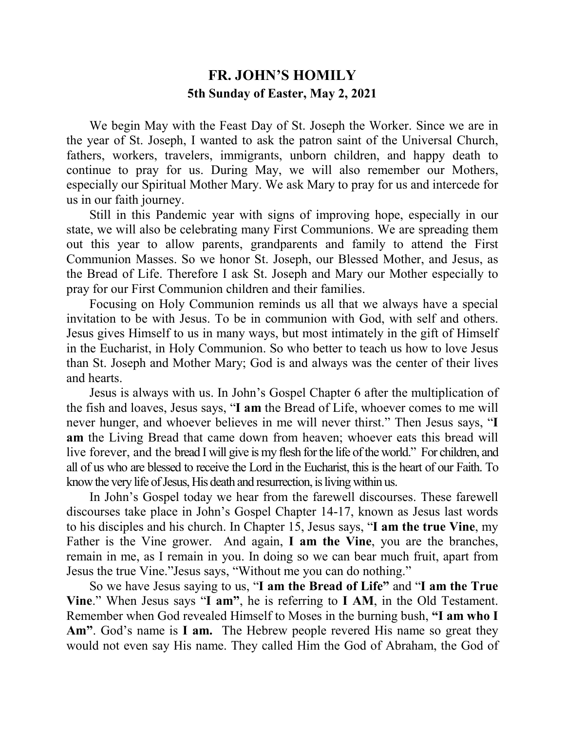## **FR. JOHN'S HOMILY 5th Sunday of Easter, May 2, 2021**

We begin May with the Feast Day of St. Joseph the Worker. Since we are in the year of St. Joseph, I wanted to ask the patron saint of the Universal Church, fathers, workers, travelers, immigrants, unborn children, and happy death to continue to pray for us. During May, we will also remember our Mothers, especially our Spiritual Mother Mary. We ask Mary to pray for us and intercede for us in our faith journey.

Still in this Pandemic year with signs of improving hope, especially in our state, we will also be celebrating many First Communions. We are spreading them out this year to allow parents, grandparents and family to attend the First Communion Masses. So we honor St. Joseph, our Blessed Mother, and Jesus, as the Bread of Life. Therefore I ask St. Joseph and Mary our Mother especially to pray for our First Communion children and their families.

Focusing on Holy Communion reminds us all that we always have a special invitation to be with Jesus. To be in communion with God, with self and others. Jesus gives Himself to us in many ways, but most intimately in the gift of Himself in the Eucharist, in Holy Communion. So who better to teach us how to love Jesus than St. Joseph and Mother Mary; God is and always was the center of their lives and hearts.

Jesus is always with us. In John's Gospel Chapter 6 after the multiplication of the fish and loaves, Jesus says, "**I am** the Bread of Life, whoever comes to me will never hunger, and whoever believes in me will never thirst." Then Jesus says, "**I am** the Living Bread that came down from heaven; whoever eats this bread will live forever, and the bread I will give is my flesh for the life of the world." For children, and all of us who are blessed to receive the Lord in the Eucharist, this is the heart of our Faith. To know the very life of Jesus, His death and resurrection, is living within us.

In John's Gospel today we hear from the farewell discourses. These farewell discourses take place in John's Gospel Chapter 14-17, known as Jesus last words to his disciples and his church. In Chapter 15, Jesus says, "**I am the true Vine**, my Father is the Vine grower. And again, **I am the Vine**, you are the branches, remain in me, as I remain in you. In doing so we can bear much fruit, apart from Jesus the true Vine."Jesus says, "Without me you can do nothing."

So we have Jesus saying to us, "I am the Bread of Life" and "I am the True **Vine**." When Jesus says "**I am"**, he is referring to **I AM**, in the Old Testament. Remember when God revealed Himself to Moses in the burning bush, **"I am who I Am"**. God's name is **I am.** The Hebrew people revered His name so great they would not even say His name. They called Him the God of Abraham, the God of